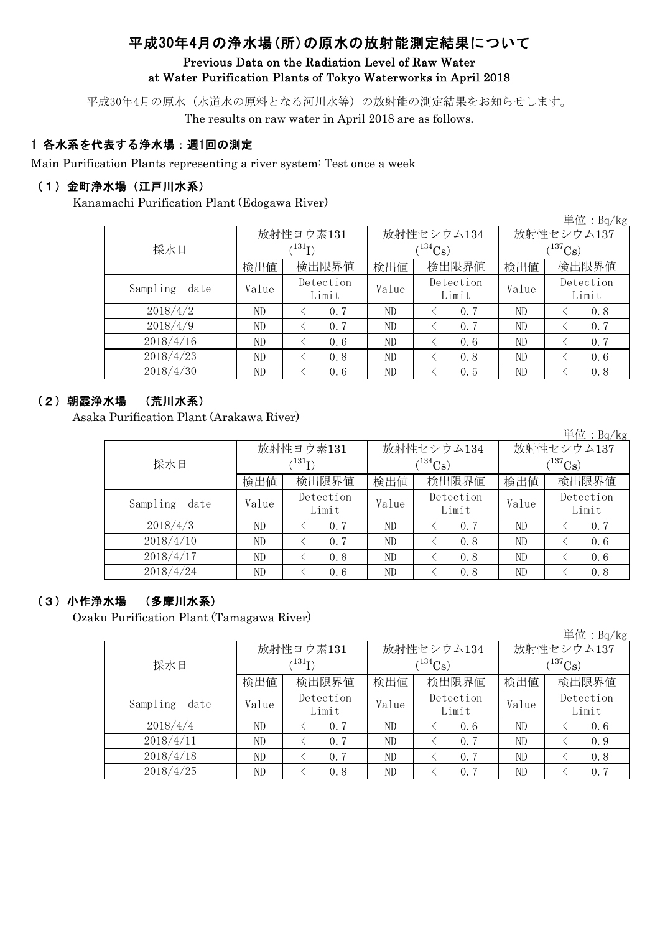# 平成30年4月の浄水場(所)の原水の放射能測定結果について

### Previous Data on the Radiation Level of Raw Water at Water Purification Plants of Tokyo Waterworks in April 2018

平成30年4月の原水(水道水の原料となる河川水等)の放射能の測定結果をお知らせします。 The results on raw water in April 2018 are as follows.

### 1 各水系を代表する浄水場:週1回の測定

Main Purification Plants representing a river system: Test once a week

#### (1)金町浄水場(江戸川水系)

Kanamachi Purification Plant (Edogawa River)

| 里位: $Bq/Kg$      |       |                            |       |                    |              |                    |  |  |  |
|------------------|-------|----------------------------|-------|--------------------|--------------|--------------------|--|--|--|
|                  |       | 放射性ヨウ素131                  |       | 放射性セシウム134         | 放射性セシウム137   |                    |  |  |  |
| 採水日              |       | $^{\prime131} \mathrm{I})$ |       | $(^{134}Cs)$       | $(^{137}Cs)$ |                    |  |  |  |
|                  | 検出値   | 検出限界値<br>検出限界値<br>検出値      |       | 検出値                | 検出限界値        |                    |  |  |  |
| Sampling<br>date | Value | Detection<br>Limit         | Value | Detection<br>Limit | Value        | Detection<br>Limit |  |  |  |
| 2018/4/2         | ND    | 0, 7                       | ND    | 0.7                | ND           | 0.8                |  |  |  |
| 2018/4/9         | ND    | 0.7                        | ND    | 0, 7               | ND           | 0.7                |  |  |  |
| 2018/4/16        | ND    | 0.6                        | ND    | 0.6                | ND           | 0.7                |  |  |  |
| 2018/4/23        | ND    | 0.8                        | ND    | 0.8                | ND           | 0.6                |  |  |  |
| 2018/4/30        | ND    | 0.6                        | ND    | 0.5                | ND           | 0.8                |  |  |  |

#### (2)朝霞浄水場 (荒川水系)

Asaka Purification Plant (Arakawa River)

|                  |       |                             |       |                    |                       | 単位: $Bq/kg$        |  |  |
|------------------|-------|-----------------------------|-------|--------------------|-----------------------|--------------------|--|--|
|                  |       | 放射性ヨウ素131                   |       | 放射性セシウム134         | 放射性セシウム137            |                    |  |  |
| 採水日              |       | $^{\prime 131} \mathrm{I})$ |       | $(134)$ Cs)        | $(^{137}\mathrm{Cs})$ |                    |  |  |
|                  | 検出値   | 検出限界値                       | 検出値   | 検出限界値              | 検出値                   | 検出限界値              |  |  |
| Sampling<br>date | Value | Detection<br>Limit          | Value | Detection<br>Limit | Value                 | Detection<br>Limit |  |  |
| 2018/4/3         | ND    | 0, 7                        | ND    | 0, 7               | ND                    | 0.7                |  |  |
| 2018/4/10        | ND    | 0, 7                        | ND    | 0.8                | ND                    | 0, 6               |  |  |
| 2018/4/17        | ND    | 0.8                         | ND    | 0.8                | ND                    | 0.6                |  |  |
| 2018/4/24        | ND    | 0.6                         | ND    | 0.8                | ND                    | 0.8                |  |  |

#### (3)小作浄水場 (多摩川水系)

Ozaku Purification Plant (Tamagawa River)

|                  |                            |                    |       |                    |             | 単位: Bq/kg          |  |  |
|------------------|----------------------------|--------------------|-------|--------------------|-------------|--------------------|--|--|
|                  |                            | 放射性ヨウ素131          |       | 放射性セシウム134         | 放射性セシウム137  |                    |  |  |
| 採水日              | $^{\prime131} \mathrm{I})$ |                    |       | $1^{134}Cs$        | $(137)$ Cs) |                    |  |  |
|                  | 検出値                        | 検出限界値              | 検出値   | 検出限界値              | 検出値         | 検出限界値              |  |  |
| Sampling<br>date | Value                      | Detection<br>Limit | Value | Detection<br>Limit | Value       | Detection<br>Limit |  |  |
| 2018/4/4         | ND                         | 0, 7               | ND    | 0.6                | ND          | 0, 6               |  |  |
| 2018/4/11        | ND.                        | 0, 7               | ND    | 0.7                | ND          | 0.9                |  |  |
| 2018/4/18        | ND                         | 0.7                | ND    | 0.7                | ND          | 0.8                |  |  |
| 2018/4/25        | ND                         | 0.8                | ND    | 0.7                | ND          | 0.7                |  |  |

 $H \rightarrow$   $n \neq$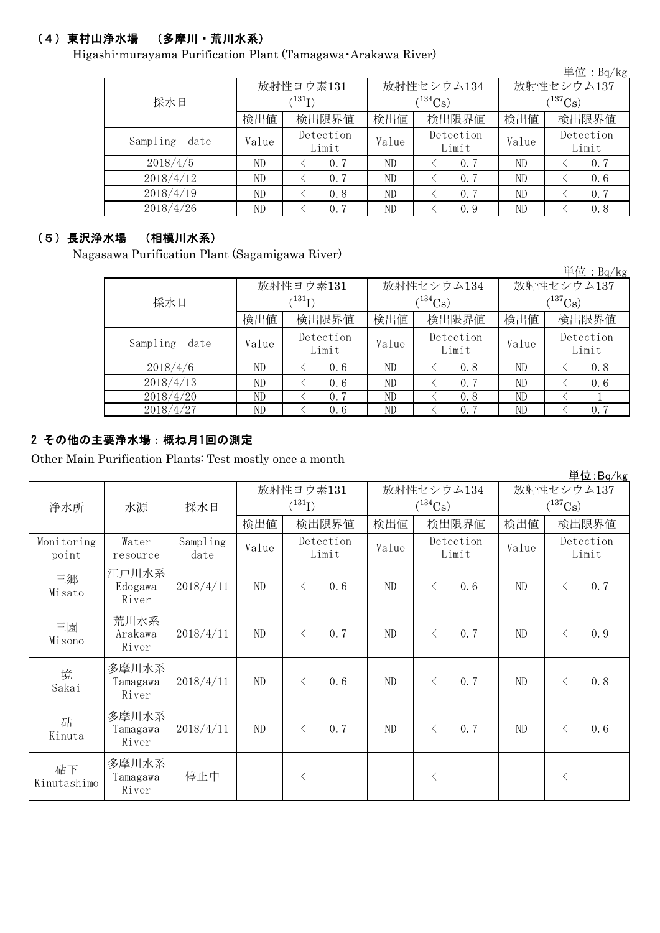## (4)東村山浄水場 (多摩川・荒川水系)

Higashi-murayama Purification Plant (Tamagawa・Arakawa River)

|                  |             |                    |              |                    |                     | 単位: Bq/kg          |  |
|------------------|-------------|--------------------|--------------|--------------------|---------------------|--------------------|--|
|                  |             | 放射性ヨウ素131          |              | 放射性セシウム134         | 放射性セシウム137          |                    |  |
| 採水日              | $^{131}$ I) |                    |              | $(134)$ Cs)        | $\rm \, (^{137}Cs)$ |                    |  |
|                  | 検出値         | 検出限界値              | 検出限界値<br>検出値 |                    | 検出値                 | 検出限界値              |  |
| Sampling<br>date | Value       | Detection<br>Limit | Value        | Detection<br>Limit | Value               | Detection<br>Limit |  |
| 2018/4/5         | ND.         | 0.7                | ND           | 0.7                | ND                  | 0.7                |  |
| 2018/4/12        | ND.         | 0.7                | ND           | 0.7                | ND                  | 0.6                |  |
| 2018/4/19        | ND          | 0.8                | ND           | 0.7                | ND                  | 0, 7               |  |
| 2018/4/26        | ND          | 0.7                | ND           | 0.9                | ND                  | 0.8                |  |

#### (5)長沢浄水場 (相模川水系)

Nagasawa Purification Plant (Sagamigawa River)

単位:Bq/kg

|                  |                          | 放射性ヨウ素131          |       | 放射性セシウム134         | 放射性セシウム137            |                    |  |  |
|------------------|--------------------------|--------------------|-------|--------------------|-----------------------|--------------------|--|--|
| 採水日              | $^{\prime\,131}{\rm I})$ |                    |       | $(134)$ Cs)        | $(^{137}\mathrm{Cs})$ |                    |  |  |
|                  | 検出値                      | 検出限界値              | 検出値   | 検出限界値              |                       | 検出限界値              |  |  |
| Sampling<br>date | Value                    | Detection<br>Limit | Value | Detection<br>Limit | Value                 | Detection<br>Limit |  |  |
| 2018/4/6         | ND                       | 0, 6               | ND    | 0.8                | ND                    | 0.8                |  |  |
| 2018/4/13        | ND                       | 0, 6               | ND    | 0, 7               | ND                    | 0, 6               |  |  |
| 2018/4/20        | ND                       | 0.7                | ND    | 0.8                | ND                    |                    |  |  |
| 2018/4/27        | ND                       | 0, 6               | ND    | 0.7                | ND                    | 0.7                |  |  |
|                  |                          |                    |       |                    |                       |                    |  |  |

## 2 その他の主要浄水場:概ね月1回の測定

Other Main Purification Plants: Test mostly once a month

|                     |                            |                  |           |             |                    |              |                    |                       |       |                    | 単位:Bq/kg |
|---------------------|----------------------------|------------------|-----------|-------------|--------------------|--------------|--------------------|-----------------------|-------|--------------------|----------|
|                     |                            |                  | 放射性ヨウ素131 |             | 放射性セシウム134         |              |                    | 放射性セシウム137            |       |                    |          |
| 浄水所                 | 水源                         | 採水日              |           | $(^{131}I)$ |                    | $(^{134}Cs)$ |                    | $(^{137}\mathrm{Cs})$ |       |                    |          |
|                     |                            |                  | 検出値       |             | 検出限界値              | 検出値          |                    | 検出限界値                 | 検出値   |                    | 検出限界値    |
| Monitoring<br>point | Water<br>resource          | Sampling<br>date | Value     |             | Detection<br>Limit | Value        | Detection<br>Limit |                       | Value | Detection<br>Limit |          |
| 三郷<br>Misato        | 江戸川水系<br>Edogawa<br>River  | 2018/4/11        | ND        | $\langle$   | 0.6                | ND           | $\lt$              | 0.6                   | ND    | $\lt$              | 0.7      |
| 三園<br>Misono        | 荒川水系<br>Arakawa<br>River   | 2018/4/11        | ND        | $\langle$   | 0.7                | ND           | $\lt$              | 0.7                   | ND    | $\lt$              | 0.9      |
| 境<br>Sakai          | 多摩川水系<br>Tamagawa<br>River | 2018/4/11        | ND        | $\langle$   | 0.6                | ND.          | $\langle$          | 0.7                   | ND    | $\langle$          | 0.8      |
| 砧<br>Kinuta         | 多摩川水系<br>Tamagawa<br>River | 2018/4/11        | $\rm ND$  | $\langle$   | 0.7                | ND           | $\langle$          | 0.7                   | ND    | $\langle$          | 0.6      |
| 砧下<br>Kinutashimo   | 多摩川水系<br>Tamagawa<br>River | 停止中              |           | $\langle$   |                    |              | $\lt$              |                       |       | $\langle$          |          |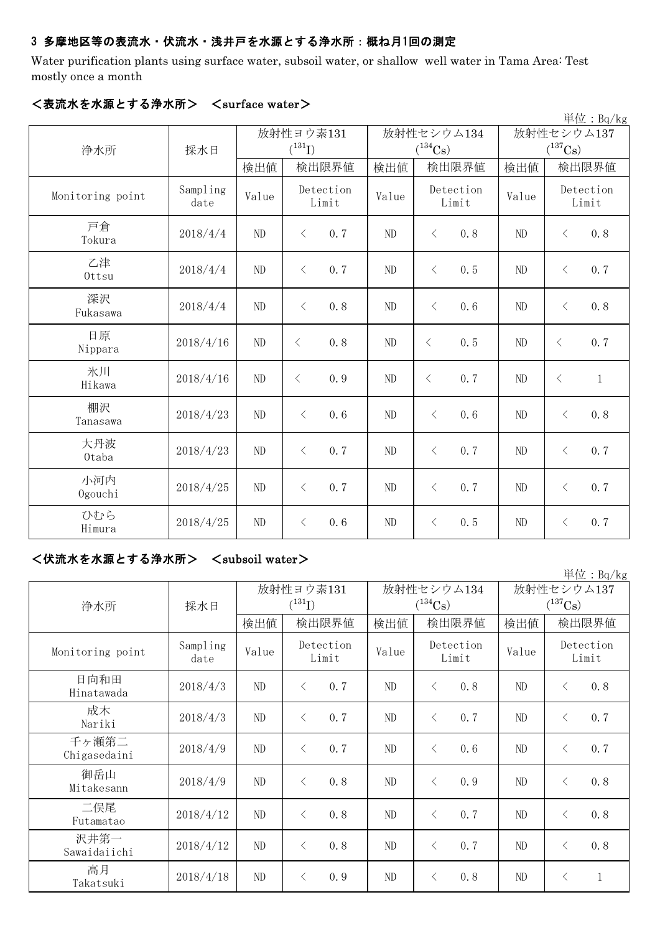#### 3 多摩地区等の表流水・伏流水・浅井戸を水源とする浄水所:概ね月1回の測定

Water purification plants using surface water, subsoil water, or shallow well water in Tama Area: Test mostly once a month

|                  |                  |           |                    |            |                       |                    |            |                       |                    | $\frac{\dot{\mathbb{H}}$ 位: Bq/kg |
|------------------|------------------|-----------|--------------------|------------|-----------------------|--------------------|------------|-----------------------|--------------------|-----------------------------------|
|                  |                  | 放射性ヨウ素131 |                    | 放射性セシウム134 |                       |                    | 放射性セシウム137 |                       |                    |                                   |
| 浄水所              | 採水日              |           | $(^{131}I)$        |            | $(^{134}\mathrm{Cs})$ |                    |            | $(^{137}\mathrm{Cs})$ |                    |                                   |
|                  |                  | 検出値       | 検出限界値              |            | 検出値                   |                    | 検出限界値      | 検出値                   |                    | 検出限界値                             |
| Monitoring point | Sampling<br>date | Value     | Detection<br>Limit |            | Value                 | Detection<br>Limit |            | Value                 | Detection<br>Limit |                                   |
| 戸倉<br>Tokura     | 2018/4/4         | ND        | 0.7<br>$\langle$   |            | ND                    | $\langle$          | 0.8        | ND                    | $\lt$              | 0.8                               |
| 乙津<br>Ottsu      | 2018/4/4         | ND        | 0.7<br>$\langle$   |            | ND                    | $\langle$          | 0.5        | ND                    | $\langle$          | 0, 7                              |
| 深沢<br>Fukasawa   | 2018/4/4         | ND        | 0.8<br>$\langle$   |            | ND                    | $\langle$          | 0.6        | ND                    | $\langle$          | 0.8                               |
| 日原<br>Nippara    | 2018/4/16        | ND        | $\langle$<br>0.8   |            | ND                    | $\langle$          | 0.5        | ND                    | $\langle$          | 0.7                               |
| 氷川<br>Hikawa     | 2018/4/16        | ND        | 0.9<br>$\langle$   |            | ND                    | $\langle$          | 0.7        | N <sub>D</sub>        | $\langle$          | $\mathbf{1}$                      |
| 棚沢<br>Tanasawa   | 2018/4/23        | ND        | 0.6<br>$\langle$   |            | ND                    | $\langle$          | 0.6        | ND                    | $\langle$          | 0.8                               |
| 大丹波<br>0taba     | 2018/4/23        | ND        | 0.7<br>$\lt$       |            | ND                    | $\langle$          | 0.7        | ND                    | $\langle$          | 0, 7                              |
| 小河内<br>Ogouchi   | 2018/4/25        | ND        | 0.7<br>$\langle$   |            | ND                    | $\langle$          | 0.7        | ND                    | $\langle$          | 0.7                               |
| ひむら<br>Himura    | 2018/4/25        | ND        | $\lt$<br>0.6       |            | ND                    | $\lt$              | 0.5        | ND                    | $\lt$              | 0.7                               |

#### <表流水を水源とする浄水所> <surface water>

#### <伏流水を水源とする浄水所> <subsoil water>

単位:Bq/kg 検出値 | 検出限根値 | 検出値 | 検出限界値 | 検出限界値 Sampling mpiing Value Detection Value Detection Value  $2018/4/3$  ND  $\leq$  0.7 ND  $\leq$  0.8 ND  $\leq$  0.8  $2018/4/3$  ND  $\leq 0.7$  ND  $\leq 0.7$  ND  $\leq 0.7$  $2018/4/9$  ND < 0.7 ND < 0.6 ND < 0.7  $2018/4/9$  ND  $\lt$  0.8 ND  $\lt$  0.9 ND  $\lt$  0.8  $2018/4/12$  ND  $\leq$  0.8 ND  $\leq$  0.7 ND  $\leq$  0.8  $2018/4/12$  ND  $\leq$  0.8 ND  $\leq$  0.7 ND  $\leq$  0.8  $2018/4/18$  ND < 0.9 ND < 0.8 ND < 1 二俣尾 Futamatao 成木 Nariki 放射性ヨウ素131  $(^{131}\text{I})$ 高月 Takatsuki 日向和田 Hinatawada 放射性セシウム137  $(^{137}\mathrm{Cs})$ 放射性セシウム134  $(^{134}Cs)$ Detection Limit Monitoring point Sampling Value Detection Limit Detection Limit 浄水所 | 採水日 沢井第一 Sawaidaiichi 千ヶ瀬第二 Chigasedaini 御岳山 Mitakesann